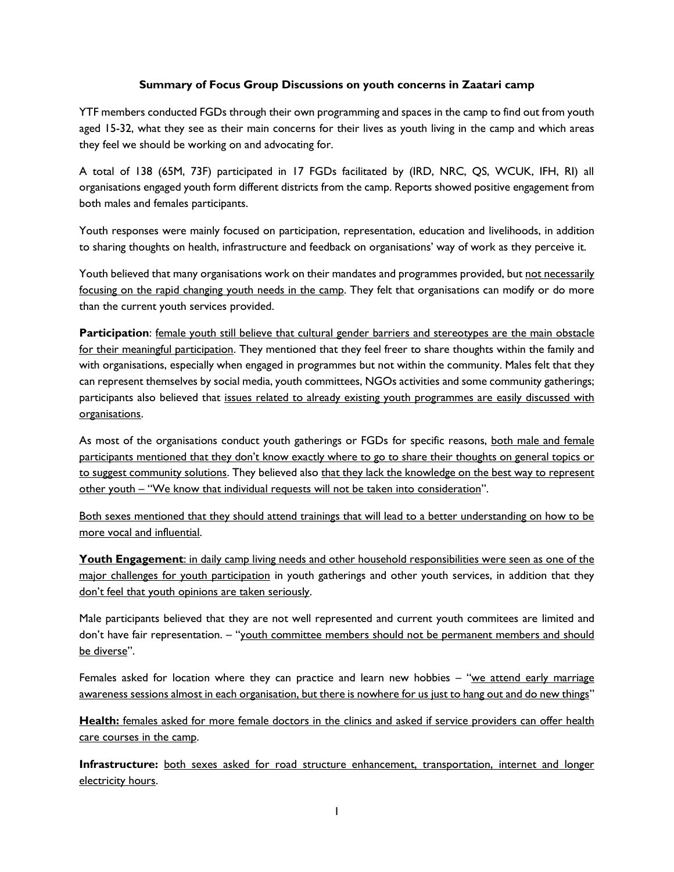# **Summary of Focus Group Discussions on youth concerns in Zaatari camp**

YTF members conducted FGDs through their own programming and spaces in the camp to find out from youth aged 15-32, what they see as their main concerns for their lives as youth living in the camp and which areas they feel we should be working on and advocating for.

A total of 138 (65M, 73F) participated in 17 FGDs facilitated by (IRD, NRC, QS, WCUK, IFH, RI) all organisations engaged youth form different districts from the camp. Reports showed positive engagement from both males and females participants.

Youth responses were mainly focused on participation, representation, education and livelihoods, in addition to sharing thoughts on health, infrastructure and feedback on organisations' way of work as they perceive it.

Youth believed that many organisations work on their mandates and programmes provided, but not necessarily focusing on the rapid changing youth needs in the camp. They felt that organisations can modify or do more than the current youth services provided.

**Participation**: female youth still believe that cultural gender barriers and stereotypes are the main obstacle for their meaningful participation. They mentioned that they feel freer to share thoughts within the family and with organisations, especially when engaged in programmes but not within the community. Males felt that they can represent themselves by social media, youth committees, NGOs activities and some community gatherings; participants also believed that issues related to already existing youth programmes are easily discussed with organisations.

As most of the organisations conduct youth gatherings or FGDs for specific reasons, both male and female participants mentioned that they don't know exactly where to go to share their thoughts on general topics or to suggest community solutions. They believed also that they lack the knowledge on the best way to represent other youth – "We know that individual requests will not be taken into consideration".

Both sexes mentioned that they should attend trainings that will lead to a better understanding on how to be more vocal and influential.

**Youth Engagement**: in daily camp living needs and other household responsibilities were seen as one of the major challenges for youth participation in youth gatherings and other youth services, in addition that they don't feel that youth opinions are taken seriously.

Male participants believed that they are not well represented and current youth commitees are limited and don't have fair representation. – "youth committee members should not be permanent members and should be diverse".

Females asked for location where they can practice and learn new hobbies – "we attend early marriage awareness sessions almost in each organisation, but there is nowhere for us just to hang out and do new things"

**Health:** females asked for more female doctors in the clinics and asked if service providers can offer health care courses in the camp.

**Infrastructure:** both sexes asked for road structure enhancement, transportation, internet and longer electricity hours.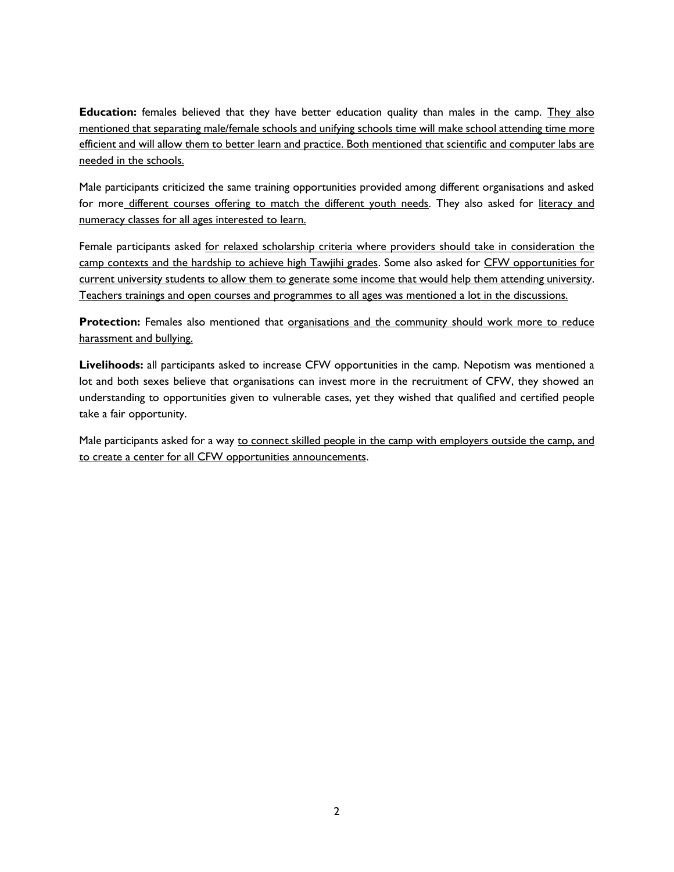**Education:** females believed that they have better education quality than males in the camp. They also mentioned that separating male/female schools and unifying schools time will make school attending time more efficient and will allow them to better learn and practice. Both mentioned that scientific and computer labs are needed in the schools.

Male participants criticized the same training opportunities provided among different organisations and asked for more different courses offering to match the different youth needs. They also asked for literacy and numeracy classes for all ages interested to learn.

Female participants asked for relaxed scholarship criteria where providers should take in consideration the camp contexts and the hardship to achieve high Tawjihi grades. Some also asked for CFW opportunities for current university students to allow them to generate some income that would help them attending university. Teachers trainings and open courses and programmes to all ages was mentioned a lot in the discussions.

**Protection:** Females also mentioned that organisations and the community should work more to reduce harassment and bullying.

**Livelihoods:** all participants asked to increase CFW opportunities in the camp. Nepotism was mentioned a lot and both sexes believe that organisations can invest more in the recruitment of CFW, they showed an understanding to opportunities given to vulnerable cases, yet they wished that qualified and certified people take a fair opportunity.

Male participants asked for a way to connect skilled people in the camp with employers outside the camp, and to create a center for all CFW opportunities announcements.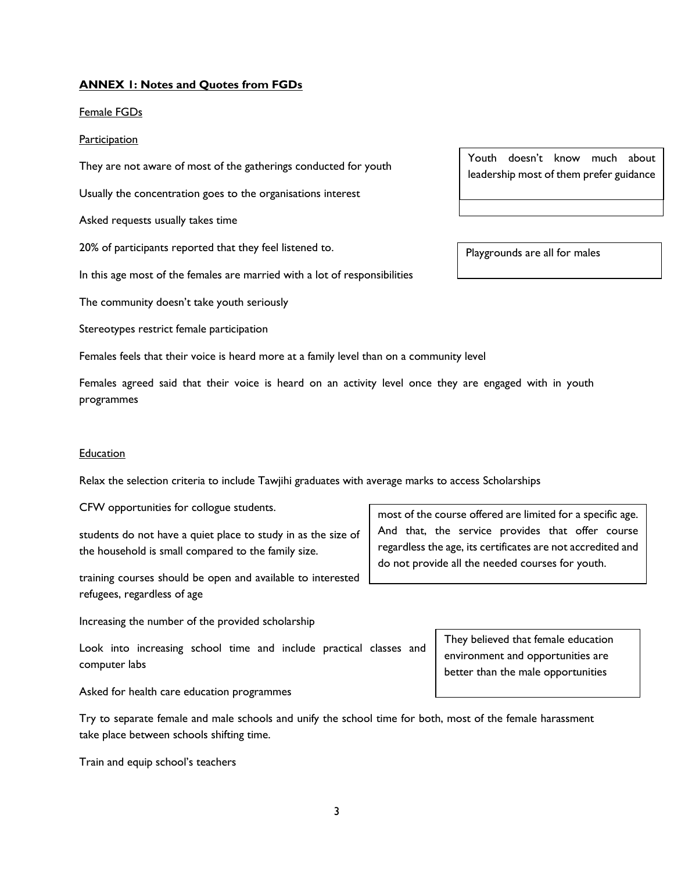# **ANNEX 1: Notes and Quotes from FGDs**

Female FGDs

#### **Participation**

They are not aware of most of the gatherings conducted for youth

Usually the concentration goes to the organisations interest

Asked requests usually takes time

20% of participants reported that they feel listened to.

In this age most of the females are married with a lot of responsibilities

The community doesn't take youth seriously

Stereotypes restrict female participation

Females feels that their voice is heard more at a family level than on a community level

Females agreed said that their voice is heard on an activity level once they are engaged with in youth programmes

#### Education

Relax the selection criteria to include Tawjihi graduates with average marks to access Scholarships

CFW opportunities for collogue students.

students do not have a quiet place to study in as the size of the household is small compared to the family size.

training courses should be open and available to interested refugees, regardless of age

Increasing the number of the provided scholarship

Look into increasing school time and include practical classes and computer labs

Asked for health care education programmes

Try to separate female and male schools and unify the school time for both, most of the female harassment take place between schools shifting time.

Train and equip school's teachers

Youth doesn't know much about doesn't know much about leadership most of them prefer guidance

Playgrounds are all for males

most of the course offered are limited for a specific age. And that, the service provides that offer course regardless the age, its certificates are not accredited and do not provide all the needed courses for youth.

> They believed that female education environment and opportunities are better than the male opportunities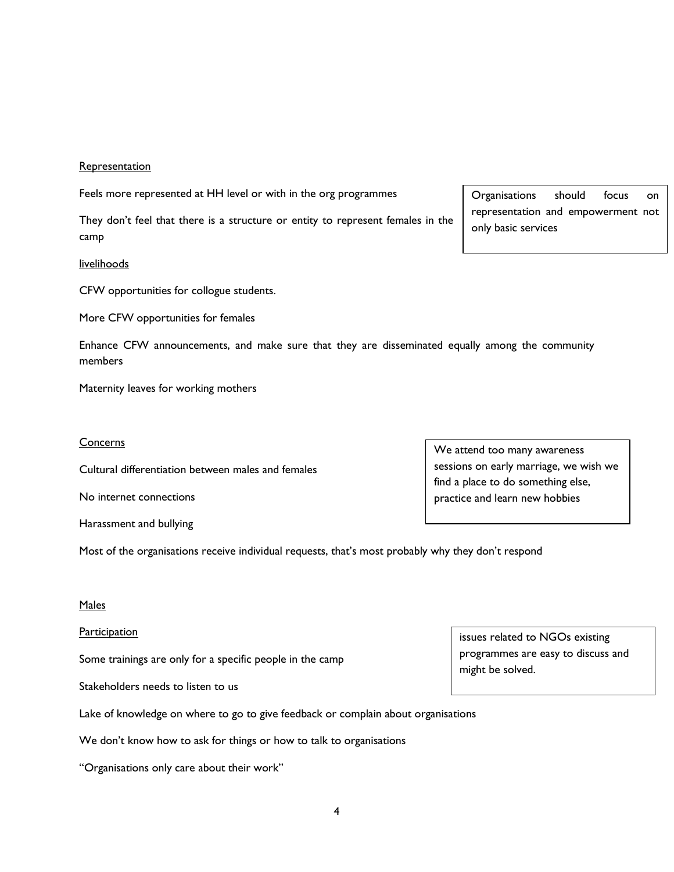### **Representation**

Feels more represented at HH level or with in the org programmes

They don't feel that there is a structure or entity to represent females in the camp

#### livelihoods

CFW opportunities for collogue students.

More CFW opportunities for females

Enhance CFW announcements, and make sure that they are disseminated equally among the community members

Maternity leaves for working mothers

#### **Concerns**

Cultural differentiation between males and females

No internet connections

Harassment and bullying

Most of the organisations receive individual requests, that's most probably why they don't respond

## Males

### **Participation**

Some trainings are only for a specific people in the camp

Stakeholders needs to listen to us

Lake of knowledge on where to go to give feedback or complain about organisations

We don't know how to ask for things or how to talk to organisations

"Organisations only care about their work"

issues related to NGOs existing programmes are easy to discuss and might be solved.

We attend too many awareness

sessions on early marriage, we wish we find a place to do something else, practice and learn new hobbies

Organisations should focus on representation and empowerment not only basic services